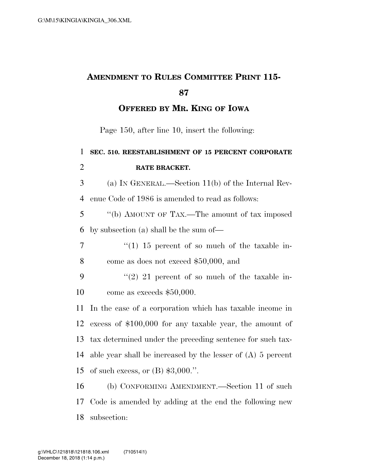## **AMENDMENT TO RULES COMMITTEE PRINT 115-**

**OFFERED BY MR. KING OF IOWA**

Page 150, after line 10, insert the following:

 **SEC. 510. REESTABLISHMENT OF 15 PERCENT CORPORATE RATE BRACKET.**  (a) IN GENERAL.—Section 11(b) of the Internal Rev- enue Code of 1986 is amended to read as follows: ''(b) AMOUNT OF TAX.—The amount of tax imposed by subsection (a) shall be the sum of—  $\frac{1}{7}$  ''(1) 15 percent of so much of the taxable in- come as does not exceed \$50,000, and  $(2)$  21 percent of so much of the taxable in- come as exceeds \$50,000. In the case of a corporation which has taxable income in excess of \$100,000 for any taxable year, the amount of tax determined under the preceding sentence for such tax- able year shall be increased by the lesser of (A) 5 percent of such excess, or (B) \$3,000.''. (b) CONFORMING AMENDMENT.—Section 11 of such Code is amended by adding at the end the following new

subsection: